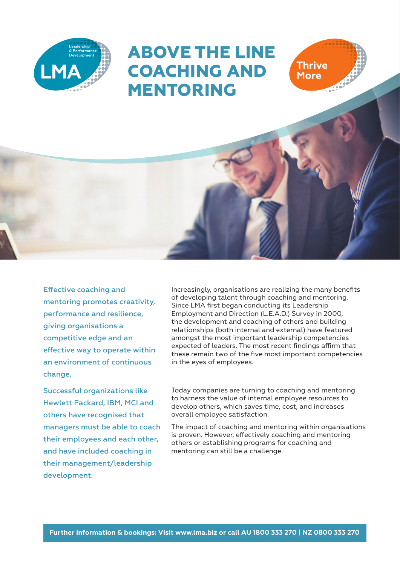

# **ABOVE THE LINE COACHING AND MENTORING**

Effective coaching and mentoring promotes creativity, performance and resilience, giving organisations a competitive edge and an effective way to operate within an environment of continuous change.

Successful organizations like Hewlett Packard, IBM, MCI and others have recognised that managers must be able to coach their employees and each other, and have included coaching in their management/leadership development.

Increasingly, organisations are realizing the many benefits of developing talent through coaching and mentoring. Since LMA first began conducting its Leadership Employment and Direction (L.E.A.D.) Survey in 2000, the development and coaching of others and building relationships (both internal and external) have featured amongst the most important leadership competencies expected of leaders. The most recent findings affirm that these remain two of the five most important competencies in the eyes of employees.

**Thrive More** 

Today companies are turning to coaching and mentoring to harness the value of internal employee resources to develop others, which saves time, cost, and increases overall employee satisfaction.

The impact of coaching and mentoring within organisations is proven. However, effectively coaching and mentoring others or establishing programs for coaching and mentoring can still be a challenge.